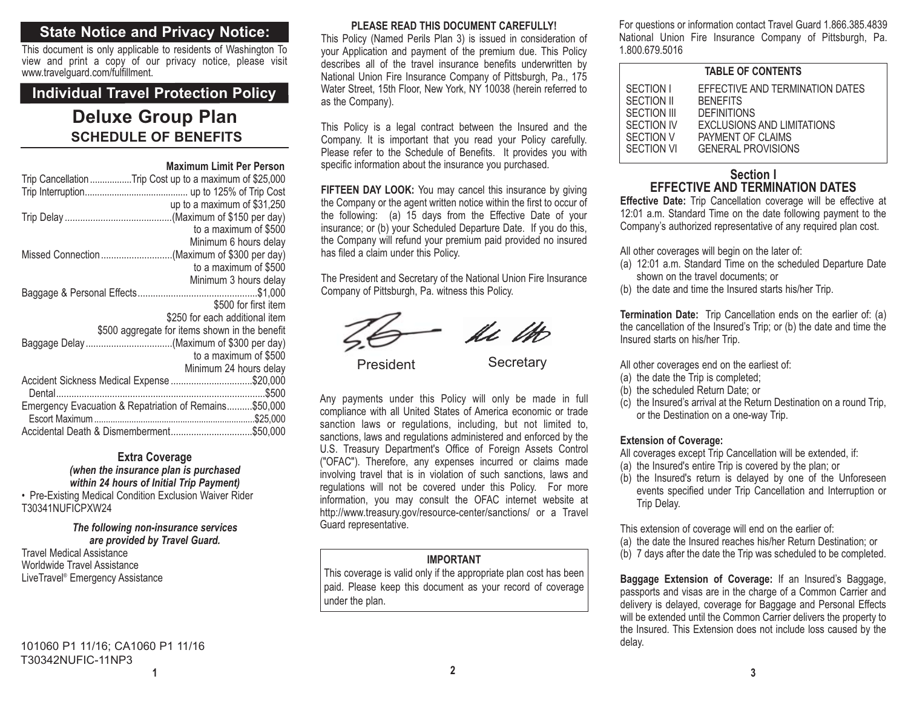# **State Notice and Privacy Notice:**

This document is only applicable to residents of Washington To view and print a copy of our privacy notice, please visit www.travelguard.com/fulfillment.

# **Individual Travel Protection Policy**

# **SCHEDULE OF BENEFITSDeluxe Group Plan**

|                                                         | <b>Maximum Limit Per Person</b>                |
|---------------------------------------------------------|------------------------------------------------|
| Trip Cancellation Trip Cost up to a maximum of \$25,000 |                                                |
|                                                         |                                                |
|                                                         | up to a maximum of \$31,250                    |
|                                                         |                                                |
|                                                         | to a maximum of \$500                          |
|                                                         | Minimum 6 hours delay                          |
| Missed Connection(Maximum of \$300 per day)             |                                                |
|                                                         | to a maximum of \$500                          |
|                                                         | Minimum 3 hours delay                          |
|                                                         |                                                |
|                                                         | \$500 for first item                           |
|                                                         | \$250 for each additional item                 |
|                                                         | \$500 aggregate for items shown in the benefit |
| Baggage Delay(Maximum of \$300 per day)                 |                                                |
|                                                         | to a maximum of \$500                          |
|                                                         | Minimum 24 hours delay                         |
| Accident Sickness Medical Expense \$20,000              |                                                |
|                                                         |                                                |
| Emergency Evacuation & Repatriation of Remains \$50,000 |                                                |
|                                                         |                                                |
| Accidental Death & Dismemberment\$50,000                |                                                |

### **Extra Coverage**

*(when the insurance plan is purchased within 24 hours of Initial Trip Payment)*

• Pre-Existing Medical Condition Exclusion Waiver Rider T30341NUFICPXW24

#### *The following non-insurance services are provided by Travel Guard.*

Travel Medical AssistanceWorldwide Travel Assistance LiveTravel® Emergency Assistance

#### **PLEASE READ THIS DOCUMENT CAREFULLY!**

This Policy (Named Perils Plan 3) is issued in consideration of your Application and payment of the premium due. This Policy describes all of the travel insurance benefits underwritten by National Union Fire Insurance Company of Pittsburgh, Pa., 175 Water Street, 15th Floor, New York, NY 10038 (herein referred to as the Company).

This Policy is a legal contract between the Insured and the Company. It is important that you read your Policy carefully. Please refer to the Schedule of Benefits. It provides you with specific information about the insurance you purchased.

**FIFTEEN DAY LOOK:** You may cancel this insurance by giving the Company or the agent written notice within the first to occur of the following: (a) 15 days from the Effective Date of your insurance; or (b) your Scheduled Departure Date. If you do this, the Company will refund your premium paid provided no insured has filed a claim under this Policy.

The President and Secretary of the National Union Fire Insurance Company of Pittsburgh, Pa. witness this Policy.



Any payments under this Policy will only be made in full compliance with all United States of America economic or trade sanction laws or regulations, including, but not limited to, sanctions, laws and regulations administered and enforced by the U.S. Treasury Department's Office of Foreign Assets Control ("OFAC"). Therefore, any expenses incurred or claims made involving travel that is in violation of such sanctions, laws and regulations will not be covered under this Policy. For more information, you may consult the OFAC internet website at http://www.treasury.gov/resource-center/sanctions/ or a Travel Guard representative.

# **IMPORTANT**

This coverage is valid only if the appropriate plan cost has been paid. Please keep this document as your record of coverage under the plan.

For questions or information contact Travel Guard 1.866.385.4839 National Union Fire Insurance Company of Pittsburgh, Pa. 1.800.679.5016

| <b>TABLE OF CONTENTS</b> |                                   |  |
|--------------------------|-----------------------------------|--|
| SECTION I                | EFFECTIVE AND TERMINATION DATES   |  |
| <b>SECTION II</b>        | <b>BENEFITS</b>                   |  |
| <b>SECTION III</b>       | <b>DEFINITIONS</b>                |  |
| <b>SECTION IV</b>        | <b>EXCLUSIONS AND LIMITATIONS</b> |  |
| <b>SECTION V</b>         | PAYMENT OF CLAIMS                 |  |
| <b>SECTION VI</b>        | <b>GENERAL PROVISIONS</b>         |  |

# **Section IEFFECTIVE AND TERMINATION DATES**

**Effective Date:** Trip Cancellation coverage will be effective at 12:01 a.m. Standard Time on the date following payment to the Company's authorized representative of any required plan cost.

All other coverages will begin on the later of:

- (a) 12:01 a.m. Standard Time on the scheduled Departure Date shown on the travel documents; or
- (b) the date and time the Insured starts his/her Trip.

**Termination Date:** Trip Cancellation ends on the earlier of: (a) the cancellation of the Insured's Trip; or (b) the date and time the Insured starts on his/her Trip.

All other coverages end on the earliest of:

- (a) the date the Trip is completed;
- (b) the scheduled Return Date; or
- (c) the Insured's arrival at the Return Destination on a round Trip, or the Destination on a one-way Trip.

### **Extension of Coverage:**

- All coverages except Trip Cancellation will be extended, if:
- (a) the Insured's entire Trip is covered by the plan; or
- (b) the Insured's return is delayed by one of the Unforeseen events specified under Trip Cancellation and Interruption or Trip Delay.

This extension of coverage will end on the earlier of:

- (a) the date the Insured reaches his/her Return Destination; or
- (b) 7 days after the date the Trip was scheduled to be completed.

**Baggage Extension of Coverage:** If an Insured's Baggage, passports and visas are in the charge of a Common Carrier and delivery is delayed, coverage for Baggage and Personal Effects will be extended until the Common Carrier delivers the property to the Insured. This Extension does not include loss caused by the delay.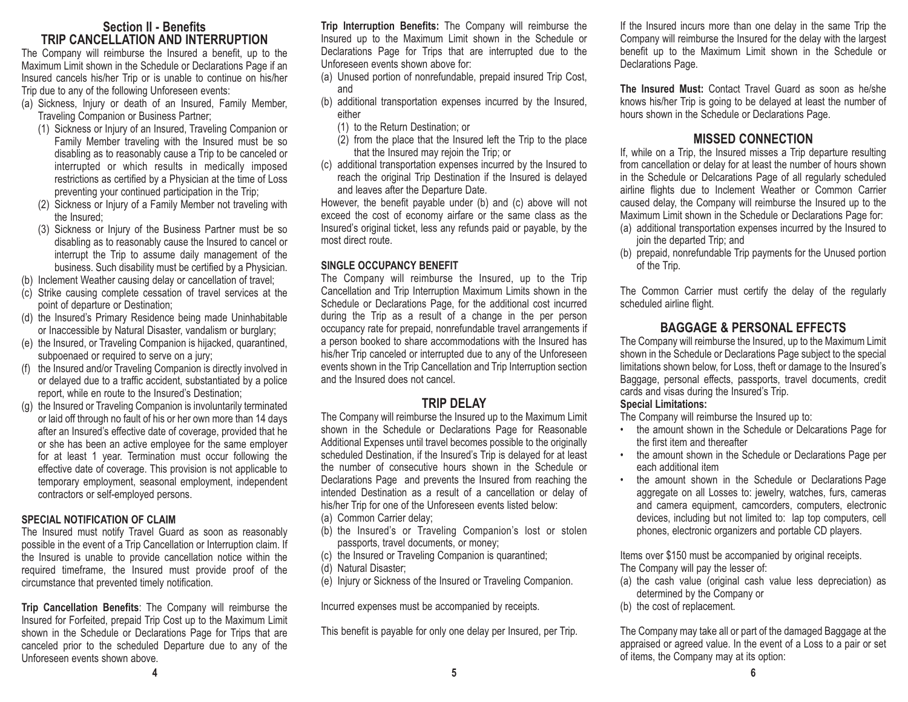# **Section II - BenefitsTRIP CANCELLATION AND INTERRUPTION**

The Company will reimburse the Insured a benefit, up to the Maximum Limit shown in the Schedule or Declarations Page if an Insured cancels his/her Trip or is unable to continue on his/her Trip due to any of the following Unforeseen events:

- (a) Sickness, Injury or death of an Insured, Family Member, Traveling Companion or Business Partner;
	- (1) Sickness or Injury of an Insured, Traveling Companion or Family Member traveling with the Insured must be so disabling as to reasonably cause a Trip to be canceled or interrupted or which results in medically imposed restrictions as certified by a Physician at the time of Loss preventing your continued participation in the Trip;
	- (2) Sickness or Injury of a Family Member not traveling with the Insured;
	- (3) Sickness or Injury of the Business Partner must be so disabling as to reasonably cause the Insured to cancel or interrupt the Trip to assume daily management of the business. Such disability must be certified by a Physician.
- (b) Inclement Weather causing delay or cancellation of travel;
- (c) Strike causing complete cessation of travel services at the point of departure or Destination;
- (d) the Insured's Primary Residence being made Uninhabitable or Inaccessible by Natural Disaster, vandalism or burglary;
- (e) the Insured, or Traveling Companion is hijacked, quarantined, subpoenaed or required to serve on a jury;
- (f) the Insured and/or Traveling Companion is directly involved in or delayed due to a traffic accident, substantiated by a police report, while en route to the Insured's Destination;
- (g) the Insured or Traveling Companion is involuntarily terminated or laid off through no fault of his or her own more than 14 days after an Insured's effective date of coverage, provided that he or she has been an active employee for the same employer for at least 1 year. Termination must occur following the effective date of coverage. This provision is not applicable to temporary employment, seasonal employment, independent contractors or self-employed persons.

### **SPECIAL NOTIFICATION OF CLAIM**

The Insured must notify Travel Guard as soon as reasonably possible in the event of a Trip Cancellation or Interruption claim. If the Insured is unable to provide cancellation notice within the required timeframe, the Insured must provide proof of the circumstance that prevented timely notification.

**Trip Cancellation Benefits**: The Company will reimburse the Insured for Forfeited, prepaid Trip Cost up to the Maximum Limit shown in the Schedule or Declarations Page for Trips that are canceled prior to the scheduled Departure due to any of the Unforeseen events shown above.

**Trip Interruption Benefits:** The Company will reimburse the Insured up to the Maximum Limit shown in the Schedule or Declarations Page for Trips that are interrupted due to the Unforeseen events shown above for:

- (a) Unused portion of nonrefundable, prepaid insured Trip Cost, and
- (b) additional transportation expenses incurred by the Insured, either
	- (1) to the Return Destination; or
	- $(2)$  from the place that the Insured left the Trip to the place that the Insured may rejoin the Trip; or
- (c) additional transportation expenses incurred by the Insured to reach the original Trip Destination if the Insured is delayed and leaves after the Departure Date.

However, the benefit payable under (b) and (c) above will not exceed the cost of economy airfare or the same class as the Insured's original ticket, less any refunds paid or payable, by the most direct route.

### **SINGLE OCCUPANCY BENEFIT**

The Company will reimburse the Insured, up to the Trip Cancellation and Trip Interruption Maximum Limits shown in the Schedule or Declarations Page, for the additional cost incurred during the Trip as a result of a change in the per person occupancy rate for prepaid, nonrefundable travel arrangements if a person booked to share accommodations with the Insured has his/her Trip canceled or interrupted due to any of the Unforeseen events shown in the Trip Cancellation and Trip Interruption section and the Insured does not cancel.

# **TRIP DELAY**

The Company will reimburse the Insured up to the Maximum Limit shown in the Schedule or Declarations Page for Reasonable Additional Expenses until travel becomes possible to the originally scheduled Destination, if the Insured's Trip is delayed for at least the number of consecutive hours shown in the Schedule orDeclarations Page and prevents the Insured from reaching the intended Destination as a result of a cancellation or delay of his/her Trip for one of the Unforeseen events listed below: (a) Common Carrier delay;

- (b) the Insured's or Traveling Companion's lost or stolen passports, travel documents, or money;
- (c) the Insured or Traveling Companion is quarantined;
- (d) Natural Disaster;
- (e) Injury or Sickness of the Insured or Traveling Companion.

Incurred expenses must be accompanied by receipts.

This benefit is payable for only one delay per Insured, per Trip.

If the Insured incurs more than one delay in the same Trip the Company will reimburse the Insured for the delay with the largest benefit up to the Maximum Limit shown in the Schedule or Declarations Page.

**The Insured Must:** Contact Travel Guard as soon as he/sheknows his/her Trip is going to be delayed at least the number of hours shown in the Schedule or Declarations Page.

# **MISSED CONNECTION**

If, while on a Trip, the Insured misses a Trip departure resulting from cancellation or delay for at least the number of hours shown in the Schedule or Delcarations Page of all regularly scheduled airline flights due to Inclement Weather or Common Carrier caused delay, the Company will reimburse the Insured up to the Maximum Limit shown in the Schedule or Declarations Page for:

- (a) additional transportation expenses incurred by the Insured to join the departed Trip; and
- (b) prepaid, nonrefundable Trip payments for the Unused portion of the Trip.

The Common Carrier must certify the delay of the regularly scheduled airline flight.

# **BAGGAGE & PERSONAL EFFECTS**

The Company will reimburse the Insured, up to the Maximum Limit shown in the Schedule or Declarations Page subject to the special limitations shown below, for Loss, theft or damage to the Insured's Baggage, personal effects, passports, travel documents, credit cards and visas during the Insured's Trip.

# **Special Limitations:**

The Company will reimburse the Insured up to:

- • the amount shown in the Schedule or Delcarations Page for the first item and thereafter
- the amount shown in the Schedule or Declarations Page per each additional item
- the amount shown in the Schedule or Declarations Page aggregate on all Losses to: jewelry, watches, furs, cameras and camera equipment, camcorders, computers, electronic devices, including but not limited to: lap top computers, cell phones, electronic organizers and portable CD players.

Items over \$150 must be accompanied by original receipts. The Company will pay the lesser of:

- (a) the cash value (original cash value less depreciation) as determined by the Company or
- (b) the cost of replacement.

The Company may take all or part of the damaged Baggage at the appraised or agreed value. In the event of a Loss to a pair or set of items, the Company may at its option: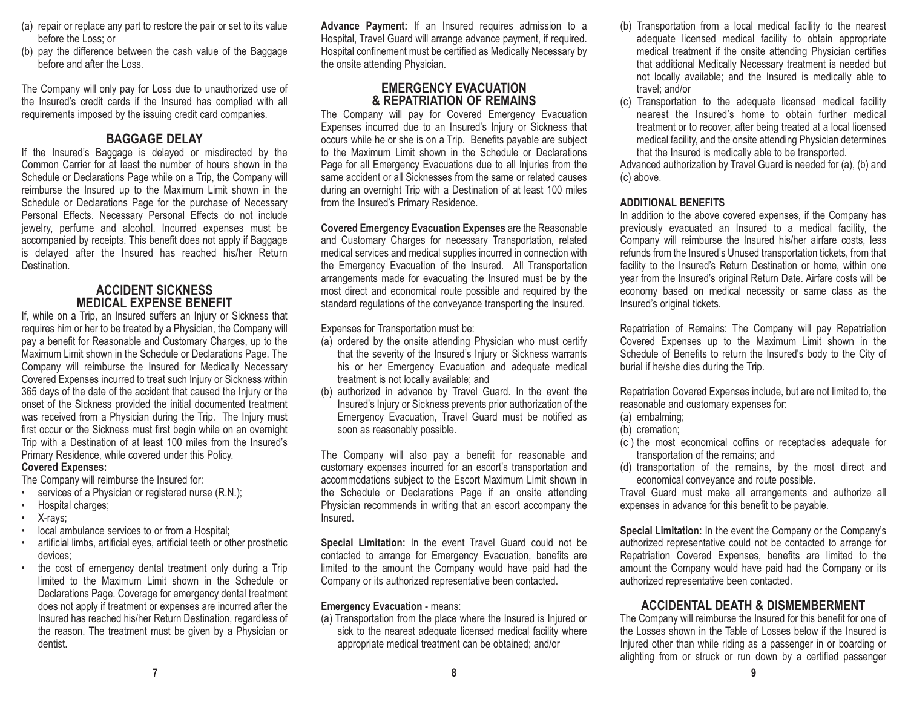- (a) repair or replace any part to restore the pair or set to its value before the Loss; or
- (b) pay the difference between the cash value of the Baggage before and after the Loss.

The Company will only pay for Loss due to unauthorized use of the Insured's credit cards if the Insured has complied with all requirements imposed by the issuing credit card companies.

# **BAGGAGE DELAY**

If the Insured's Baggage is delayed or misdirected by the Common Carrier for at least the number of hours shown in theSchedule or Declarations Page while on a Trip, the Company will reimburse the Insured up to the Maximum Limit shown in the Schedule or Declarations Page for the purchase of Necessary Personal Effects. Necessary Personal Effects do not include jewelry, perfume and alcohol. Incurred expenses must be accompanied by receipts. This benefit does not apply if Baggage is delayed after the Insured has reached his/her Return Destination.

## **ACCIDENT SICKNESSMEDICAL EXPENSE BENEFIT**

 If, while on a Trip, an Insured suffers an Injury or Sickness that requires him or her to be treated by a Physician, the Company will pay a benefit for Reasonable and Customary Charges, up to the Maximum Limit shown in the Schedule or Declarations Page. The Company will reimburse the Insured for Medically Necessary Covered Expenses incurred to treat such Injury or Sickness within 365 days of the date of the accident that caused the Injury or the onset of the Sickness provided the initial documented treatment was received from a Physician during the Trip. The Injury must first occur or the Sickness must first begin while on an overnight Trip with a Destination of at least 100 miles from the Insured's Primary Residence, while covered under this Policy.

### **Covered Expenses:**

The Company will reimburse the Insured for:

- •services of a Physician or registered nurse (R.N.);
- Hospital charges;
- •X-rays;
- •local ambulance services to or from a Hospital;
- artificial limbs, artificial eyes, artificial teeth or other prosthetic devices;
- • the cost of emergency dental treatment only during a Trip limited to the Maximum Limit shown in the Schedule orDeclarations Page. Coverage for emergency dental treatment does not apply if treatment or expenses are incurred after the Insured has reached his/her Return Destination, regardless of the reason. The treatment must be given by a Physician or dentist.

**Advance Payment:** If an Insured requires admission to a Hospital, Travel Guard will arrange advance payment, if required. Hospital confinement must be certified as Medically Necessary by the onsite attending Physician.

# **EMERGENCY EVACUATION & REPATRIATION OF REMAINS**

The Company will pay for Covered Emergency Evacuation Expenses incurred due to an Insured's Injury or Sickness that occurs while he or she is on a Trip. Benefits payable are subject to the Maximum Limit shown in the Schedule or DeclarationsPage for all Emergency Evacuations due to all Injuries from the same accident or all Sicknesses from the same or related causes during an overnight Trip with a Destination of at least 100 miles from the Insured's Primary Residence.

**Covered Emergency Evacuation Expenses** are the Reasonable and Customary Charges for necessary Transportation, related medical services and medical supplies incurred in connection with the Emergency Evacuation of the Insured. All Transportation arrangements made for evacuating the Insured must be by the most direct and economical route possible and required by the standard regulations of the conveyance transporting the Insured.

Expenses for Transportation must be:

- (a) ordered by the onsite attending Physician who must certify that the severity of the Insured's Injury or Sickness warrants his or her Emergency Evacuation and adequate medical treatment is not locally available; and
- (b) authorized in advance by Travel Guard. In the event the Insured's Injury or Sickness prevents prior authorization of the Emergency Evacuation, Travel Guard must be notified as soon as reasonably possible.

The Company will also pay a benefit for reasonable and customary expenses incurred for an escort's transportation and accommodations subject to the Escort Maximum Limit shown in the Schedule or Declarations Page if an onsite attending Physician recommends in writing that an escort accompany the Insured.

**Special Limitation:** In the event Travel Guard could not be contacted to arrange for Emergency Evacuation, benefits are limited to the amount the Company would have paid had the Company or its authorized representative been contacted.

### **Emergency Evacuation** - means:

(a) Transportation from the place where the Insured is Injured or sick to the nearest adequate licensed medical facility where appropriate medical treatment can be obtained; and/or

- (b) Transportation from a local medical facility to the nearest adequate licensed medical facility to obtain appropriate medical treatment if the onsite attending Physician certifies that additional Medically Necessary treatment is needed but not locally available; and the Insured is medically able to travel; and/or
- (c) Transportation to the adequate licensed medical facility nearest the Insured's home to obtain further medicaltreatment or to recover, after being treated at a local licensed medical facility, and the onsite attending Physician determines that the Insured is medically able to be transported.

Advanced authorization by Travel Guard is needed for (a), (b) and (c) above.

### **ADDITIONAL BENEFITS**

In addition to the above covered expenses, if the Company has previously evacuated an Insured to a medical facility, the Company will reimburse the Insured his/her airfare costs, less refunds from the Insured's Unused transportation tickets, from that facility to the Insured's Return Destination or home, within one year from the Insured's original Return Date. Airfare costs will be economy based on medical necessity or same class as the Insured's original tickets.

Repatriation of Remains: The Company will pay Repatriation Covered Expenses up to the Maximum Limit shown in the Schedule of Benefits to return the Insured's body to the City of burial if he/she dies during the Trip.

Repatriation Covered Expenses include, but are not limited to, the reasonable and customary expenses for:

- (a) embalming;
- (b) cremation;
- (c ) the most economical coffins or receptacles adequate for transportation of the remains; and
- (d) transportation of the remains, by the most direct and economical conveyance and route possible.

Travel Guard must make all arrangements and authorize all expenses in advance for this benefit to be payable.

**Special Limitation:** In the event the Company or the Company's authorized representative could not be contacted to arrange for Repatriation Covered Expenses, benefits are limited to the amount the Company would have paid had the Company or its authorized representative been contacted.

# **ACCIDENTAL DEATH & DISMEMBERMENT**

The Company will reimburse the Insured for this benefit for one of the Losses shown in the Table of Losses below if the Insured isInjured other than while riding as a passenger in or boarding or alighting from or struck or run down by a certified passenger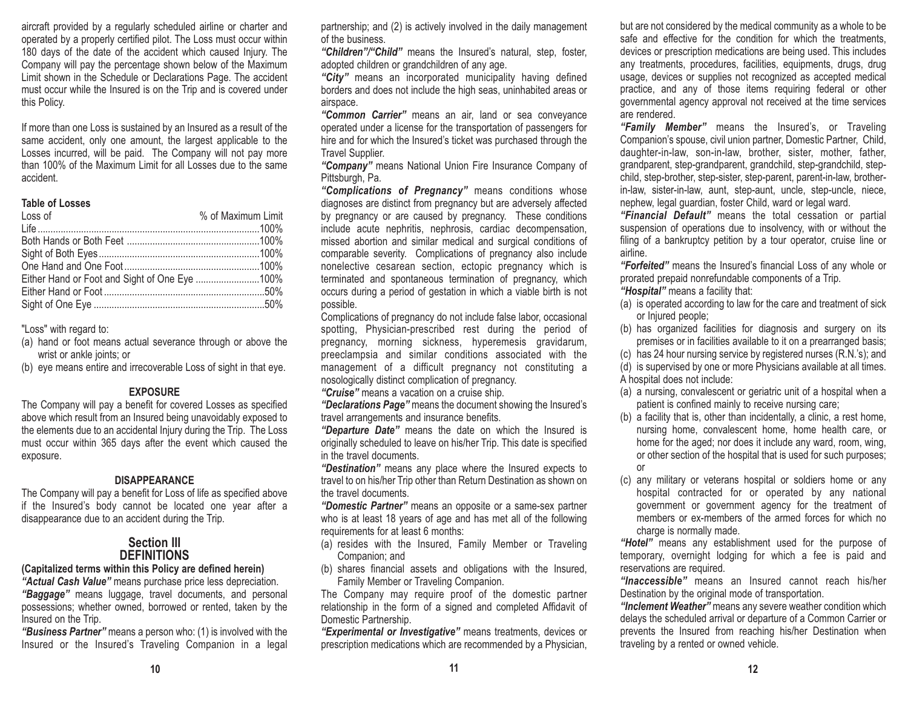aircraft provided by a regularly scheduled airline or charter and operated by a properly certified pilot. The Loss must occur within 180 days of the date of the accident which caused Injury. The Company will pay the percentage shown below of the Maximum Limit shown in the Schedule or Declarations Page. The accident must occur while the Insured is on the Trip and is covered under this Policy.

If more than one Loss is sustained by an Insured as a result of the same accident, only one amount, the largest applicable to the Losses incurred, will be paid. The Company will not pay more than 100% of the Maximum Limit for all Losses due to the sameaccident.

#### **Table of Losses**

| Loss of | % of Maximum Limit |
|---------|--------------------|
|         |                    |
|         |                    |
|         |                    |
|         |                    |
|         |                    |
|         |                    |
|         |                    |

"Loss" with regard to:

- (a) hand or foot means actual severance through or above the wrist or ankle joints; or
- (b) eye means entire and irrecoverable Loss of sight in that eye.

### **EXPOSURE**

The Company will pay a benefit for covered Losses as specified above which result from an Insured being unavoidably exposed to the elements due to an accidental Injury during the Trip. The Loss must occur within 365 days after the event which caused the exposure.

### **DISAPPEARANCE**

The Company will pay a benefit for Loss of life as specified above if the Insured's body cannot be located one year after a disappearance due to an accident during the Trip.

# **Section IIIDEFINITIONS**

### **(Capitalized terms within this Policy are defined herein)**

*"Actual Cash Value"* means purchase price less depreciation. *"Baggage"* means luggage, travel documents, and personal possessions; whether owned, borrowed or rented, taken by the Insured on the Trip.

*"Business Partner"* means a person who: (1) is involved with the Insured or the Insured's Traveling Companion in a legal partnership; and (2) is actively involved in the daily management of the business.

*"Children"/"Child"* means the Insured's natural, step, foster, adopted children or grandchildren of any age.

*"City"* means an incorporated municipality having defined borders and does not include the high seas, uninhabited areas or airspace.

*"Common Carrier"* means an air, land or sea conveyance operated under a license for the transportation of passengers for hire and for which the Insured's ticket was purchased through the Travel Supplier.

*"Company"* means National Union Fire Insurance Company of Pittsburgh, Pa.

*"Complications of Pregnancy"* means conditions whose diagnoses are distinct from pregnancy but are adversely affected by pregnancy or are caused by pregnancy. These conditions include acute nephritis, nephrosis, cardiac decompensation, missed abortion and similar medical and surgical conditions of comparable severity. Complications of pregnancy also include nonelective cesarean section, ectopic pregnancy which is terminated and spontaneous termination of pregnancy, which occurs during a period of gestation in which a viable birth is not possible.

Complications of pregnancy do not include false labor, occasional spotting, Physician-prescribed rest during the period of pregnancy, morning sickness, hyperemesis gravidarum, preeclampsia and similar conditions associated with the management of a difficult pregnancy not constituting a nosologically distinct complication of pregnancy.

*"Cruise"* means a vacation on a cruise ship.

*"Declarations Page"* means the document showing the Insured's travel arrangements and insurance benefits.

*"Departure Date"* means the date on which the Insured is originally scheduled to leave on his/her Trip. This date is specified in the travel documents.

*"Destination"* means any place where the Insured expects to travel to on his/her Trip other than Return Destination as shown on the travel documents.

*"Domestic Partner"* means an opposite or a same-sex partner who is at least 18 years of age and has met all of the following requirements for at least 6 months:

- (a) resides with the Insured, Family Member or Traveling Companion; and
- (b) shares financial assets and obligations with the Insured, Family Member or Traveling Companion.

The Company may require proof of the domestic partner relationship in the form of a signed and completed Affidavit of Domestic Partnership.

*"Experimental or Investigative"* means treatments, devices or prescription medications which are recommended by a Physician, but are not considered by the medical community as a whole to be safe and effective for the condition for which the treatments, devices or prescription medications are being used. This includes any treatments, procedures, facilities, equipments, drugs, drug usage, devices or supplies not recognized as accepted medical practice, and any of those items requiring federal or other governmental agency approval not received at the time services are rendered.

*"Family Member"* means the Insured's, or Traveling Companion's spouse, civil union partner, Domestic Partner, Child, daughter-in-law, son-in-law, brother, sister, mother, father, grandparent, step-grandparent, grandchild, step-grandchild, stepchild, step-brother, step-sister, step-parent, parent-in-law, brotherin-law, sister-in-law, aunt, step-aunt, uncle, step-uncle, niece, nephew, legal guardian, foster Child, ward or legal ward.

*"Financial Default"* means the total cessation or partial suspension of operations due to insolvency, with or without the filing of a bankruptcy petition by a tour operator, cruise line or airline.

*"Forfeited"* means the Insured's financial Loss of any whole or prorated prepaid nonrefundable components of a Trip.

*"Hospital"* means a facility that:

- (a) is operated according to law for the care and treatment of sick or Injured people;
- (b) has organized facilities for diagnosis and surgery on its premises or in facilities available to it on a prearranged basis;
- (c) has 24 hour nursing service by registered nurses (R.N.'s); and

(d) is supervised by one or more Physicians available at all times. A hospital does not include:

- (a) a nursing, convalescent or geriatric unit of a hospital when a patient is confined mainly to receive nursing care;
- (b) a facility that is, other than incidentally, a clinic, a rest home, nursing home, convalescent home, home health care, or home for the aged; nor does it include any ward, room, wing, or other section of the hospital that is used for such purposes; or
- (c) any military or veterans hospital or soldiers home or any hospital contracted for or operated by any national government or government agency for the treatment of members or ex-members of the armed forces for which nocharge is normally made.

*"Hotel"* means any establishment used for the purpose of temporary, overnight lodging for which a fee is paid and reservations are required.

*"Inaccessible"* means an Insured cannot reach his/her Destination by the original mode of transportation.

*"Inclement Weather"* means any severe weather condition which delays the scheduled arrival or departure of a Common Carrier or prevents the Insured from reaching his/her Destination when traveling by a rented or owned vehicle.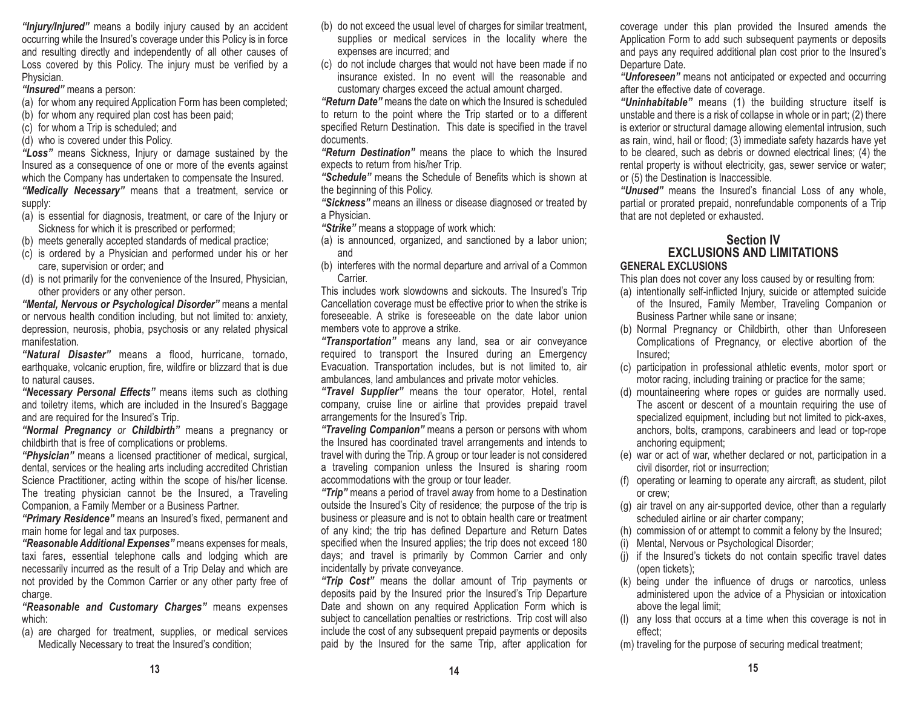*"Injury/Injured"* means a bodily injury caused by an accident occurring while the Insured's coverage under this Policy is in force and resulting directly and independently of all other causes of Loss covered by this Policy. The injury must be verified by a Physician.

*"Insured"* means a person:

- (a) for whom any required Application Form has been completed;
- (b) for whom any required plan cost has been paid;
- (c) for whom a Trip is scheduled; and

(d) who is covered under this Policy.

*"Loss"* means Sickness, Injury or damage sustained by the Insured as a consequence of one or more of the events against which the Company has undertaken to compensate the Insured. *"Medically Necessary"* means that a treatment, service or supply:

- (a) is essential for diagnosis, treatment, or care of the Injury or Sickness for which it is prescribed or performed;
- (b) meets generally accepted standards of medical practice;
- (c) is ordered by a Physician and performed under his or her care, supervision or order; and
- (d) is not primarily for the convenience of the Insured, Physician, other providers or any other person.

*"Mental, Nervous or Psychological Disorder"* means a mental or nervous health condition including, but not limited to: anxiety, depression, neurosis, phobia, psychosis or any related physical manifestation.

*"Natural Disaster"* means a flood, hurricane, tornado, earthquake, volcanic eruption, fire, wildfire or blizzard that is due to natural causes.

*"Necessary Personal Effects"* means items such as clothing and toiletry items, which are included in the Insured's Baggage and are required for the Insured's Trip.

*"Normal Pregnancy or Childbirth"* means a pregnancy or childbirth that is free of complications or problems.

*"Physician"* means a licensed practitioner of medical, surgical, dental, services or the healing arts including accredited Christian Science Practitioner, acting within the scope of his/her license. The treating physician cannot be the Insured, a Traveling Companion, a Family Member or a Business Partner.

*"Primary Residence"* means an Insured's fixed, permanent and main home for legal and tax purposes.

*"Reasonable Additional Expenses"* means expenses for meals, taxi fares, essential telephone calls and lodging which are necessarily incurred as the result of a Trip Delay and which are not provided by the Common Carrier or any other party free of charge.

*"Reasonable and Customary Charges"* means expenses which:

(a) are charged for treatment, supplies, or medical services Medically Necessary to treat the Insured's condition;

- (b) do not exceed the usual level of charges for similar treatment, supplies or medical services in the locality where the expenses are incurred; and
- (c) do not include charges that would not have been made if no insurance existed. In no event will the reasonable andcustomary charges exceed the actual amount charged.

*"Return Date"* means the date on which the Insured is scheduledto return to the point where the Trip started or to a different specified Return Destination. This date is specified in the travel documents.

*"Return Destination"* means the place to which the Insured expects to return from his/her Trip.

*"Schedule"* means the Schedule of Benefits which is shown at the beginning of this Policy.

*"Sickness"* means an illness or disease diagnosed or treated by a Physician.

*"Strike"* means a stoppage of work which:

- (a) is announced, organized, and sanctioned by a labor union; and
- (b) interferes with the normal departure and arrival of a Common **Carrier**

This includes work slowdowns and sickouts. The Insured's Trip Cancellation coverage must be effective prior to when the strike is foreseeable. A strike is foreseeable on the date labor unionmembers vote to approve a strike.

*"Transportation"* means any land, sea or air conveyance required to transport the Insured during an Emergency Evacuation. Transportation includes, but is not limited to, air ambulances, land ambulances and private motor vehicles.

*"Travel Supplier"* means the tour operator, Hotel, rental company, cruise line or airline that provides prepaid travel arrangements for the Insured's Trip.

*"Traveling Companion"* means a person or persons with whom the Insured has coordinated travel arrangements and intends to travel with during the Trip. A group or tour leader is not considered a traveling companion unless the Insured is sharing room accommodations with the group or tour leader.

*"Trip"* means a period of travel away from home to a Destination outside the Insured's City of residence; the purpose of the trip is business or pleasure and is not to obtain health care or treatment of any kind; the trip has defined Departure and Return Dates specified when the Insured applies; the trip does not exceed 180 days; and travel is primarily by Common Carrier and only incidentally by private conveyance.

*"Trip Cost"* means the dollar amount of Trip payments or deposits paid by the Insured prior the Insured's Trip Departure Date and shown on any required Application Form which is subject to cancellation penalties or restrictions. Trip cost will also include the cost of any subsequent prepaid payments or deposits paid by the Insured for the same Trip, after application for

coverage under this plan provided the Insured amends the Application Form to add such subsequent payments or deposits and pays any required additional plan cost prior to the Insured's Departure Date.

*"Unforeseen"* means not anticipated or expected and occurring after the effective date of coverage.

*"Uninhabitable"* means (1) the building structure itself is unstable and there is a risk of collapse in whole or in part; (2) there is exterior or structural damage allowing elemental intrusion, such as rain, wind, hail or flood; (3) immediate safety hazards have yet to be cleared, such as debris or downed electrical lines; (4) the rental property is without electricity, gas, sewer service or water; or (5) the Destination is Inaccessible.

*"Unused"* means the Insured's financial Loss of any whole, partial or prorated prepaid, nonrefundable components of a Trip that are not depleted or exhausted.

# **Section IVEXCLUSIONS AND LIMITATIONS**

# **GENERAL EXCLUSIONS**

This plan does not cover any loss caused by or resulting from:

- (a) intentionally self-inflicted Injury, suicide or attempted suicide of the Insured, Family Member, Traveling Companion or Business Partner while sane or insane;
- (b) Normal Pregnancy or Childbirth, other than Unforeseen Complications of Pregnancy, or elective abortion of the Insured;
- (c) participation in professional athletic events, motor sport or motor racing, including training or practice for the same;
- (d) mountaineering where ropes or guides are normally used. The ascent or descent of a mountain requiring the use of specialized equipment, including but not limited to pick-axes, anchors, bolts, crampons, carabineers and lead or top-rope anchoring equipment;
- (e) war or act of war, whether declared or not, participation in a civil disorder, riot or insurrection;
- (f) operating or learning to operate any aircraft, as student, pilot or crew;
- (g) air travel on any air-supported device, other than a regularly scheduled airline or air charter company;
- (h) commission of or attempt to commit a felony by the Insured;
- (i) Mental, Nervous or Psychological Disorder;
- (j) if the Insured's tickets do not contain specific travel dates (open tickets);
- (k) being under the influence of drugs or narcotics, unless administered upon the advice of a Physician or intoxication above the legal limit;
- (l) any loss that occurs at a time when this coverage is not in effect;
- (m) traveling for the purpose of securing medical treatment;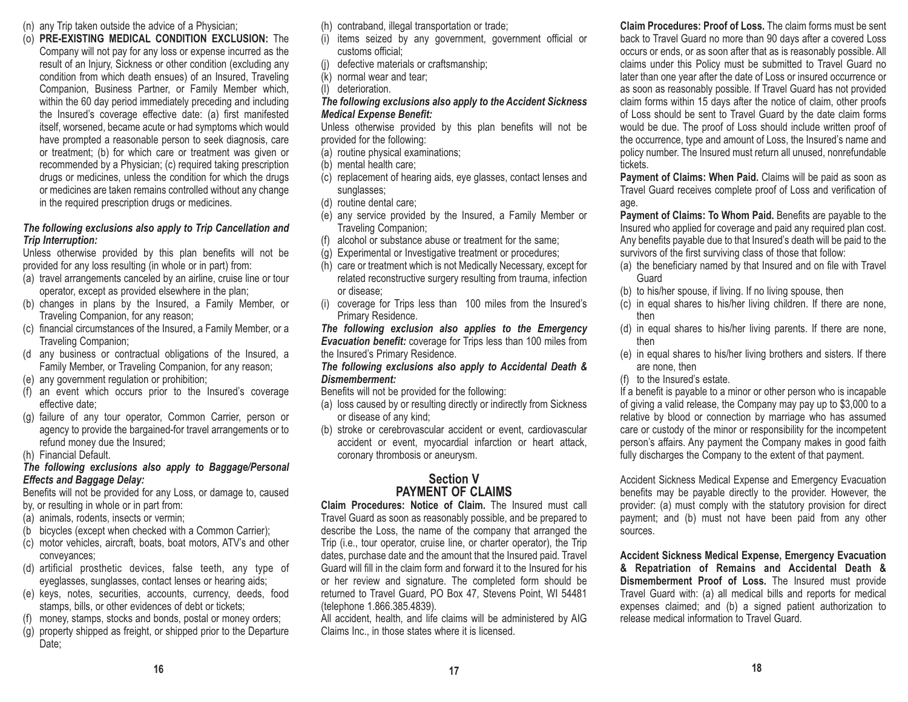- (n) any Trip taken outside the advice of a Physician;
- (o) **PRE-EXISTING MEDICAL CONDITION EXCLUSION:** The Company will not pay for any loss or expense incurred as the result of an Injury, Sickness or other condition (excluding any condition from which death ensues) of an Insured, Traveling Companion, Business Partner, or Family Member which, within the 60 day period immediately preceding and including the Insured's coverage effective date: (a) first manifested itself, worsened, became acute or had symptoms which would have prompted a reasonable person to seek diagnosis, care or treatment; (b) for which care or treatment was given or recommended by a Physician; (c) required taking prescription drugs or medicines, unless the condition for which the drugs or medicines are taken remains controlled without any change in the required prescription drugs or medicines.

### *The following exclusions also apply to Trip Cancellation and Trip Interruption:*

Unless otherwise provided by this plan benefits will not be provided for any loss resulting (in whole or in part) from:

- (a) travel arrangements canceled by an airline, cruise line or tour operator, except as provided elsewhere in the plan;
- (b) changes in plans by the Insured, a Family Member, or Traveling Companion, for any reason;
- (c) financial circumstances of the Insured, a Family Member, or a Traveling Companion;
- (d any business or contractual obligations of the Insured, a Family Member, or Traveling Companion, for any reason;
- (e) any government regulation or prohibition;
- (f) an event which occurs prior to the Insured's coverage effective date;
- (g) failure of any tour operator, Common Carrier, person or agency to provide the bargained-for travel arrangements or to refund money due the Insured;
- (h) Financial Default.

### *The following exclusions also apply to Baggage/Personal Effects and Baggage Delay:*

Benefits will not be provided for any Loss, or damage to, caused by, or resulting in whole or in part from:

- (a) animals, rodents, insects or vermin;
- (b bicycles (except when checked with a Common Carrier);
- (c) motor vehicles, aircraft, boats, boat motors, ATV's and other conveyances;
- (d) artificial prosthetic devices, false teeth, any type of eyeglasses, sunglasses, contact lenses or hearing aids;
- (e) keys, notes, securities, accounts, currency, deeds, food stamps, bills, or other evidences of debt or tickets;
- (f) money, stamps, stocks and bonds, postal or money orders;
- (g) property shipped as freight, or shipped prior to the Departure Date;

(h) contraband, illegal transportation or trade;

- (i) items seized by any government, government official or customs official;
- (j) defective materials or craftsmanship;
- (k) normal wear and tear;
- (l) deterioration.

### *The following exclusions also apply to the Accident Sickness Medical Expense Benefit:*

Unless otherwise provided by this plan benefits will not be provided for the following:

- (a) routine physical examinations;
- (b) mental health care;
- (c) replacement of hearing aids, eye glasses, contact lenses and sunglasses;
- (d) routine dental care;
- (e) any service provided by the Insured, a Family Member or Traveling Companion;
- (f) alcohol or substance abuse or treatment for the same;
- (g) Experimental or Investigative treatment or procedures;
- (h) care or treatment which is not Medically Necessary, except for related reconstructive surgery resulting from trauma, infection or disease;
- (i) coverage for Trips less than 100 miles from the Insured's Primary Residence.

*The following exclusion also applies to the Emergency Evacuation benefit:* coverage for Trips less than 100 miles from the Insured's Primary Residence.

### *The following exclusions also apply to Accidental Death & Dismemberment:*

- Benefits will not be provided for the following:
- (a) loss caused by or resulting directly or indirectly from Sickness or disease of any kind;
- (b) stroke or cerebrovascular accident or event, cardiovascular accident or event, myocardial infarction or heart attack, coronary thrombosis or aneurysm.

# **Section VPAYMENT OF CLAIMS**

**Claim Procedures: Notice of Claim.** The Insured must call Travel Guard as soon as reasonably possible, and be prepared to describe the Loss, the name of the company that arranged the Trip (i.e., tour operator, cruise line, or charter operator), the Trip dates, purchase date and the amount that the Insured paid. Travel Guard will fill in the claim form and forward it to the Insured for his or her review and signature. The completed form should be returned to Travel Guard, PO Box 47, Stevens Point, WI 54481 (telephone 1.866.385.4839).

All accident, health, and life claims will be administered by AIG Claims Inc., in those states where it is licensed.

**Claim Procedures: Proof of Loss.** The claim forms must be sent back to Travel Guard no more than 90 days after a covered Loss occurs or ends, or as soon after that as is reasonably possible. All claims under this Policy must be submitted to Travel Guard no later than one year after the date of Loss or insured occurrence or as soon as reasonably possible. If Travel Guard has not provided claim forms within 15 days after the notice of claim, other proofs of Loss should be sent to Travel Guard by the date claim forms would be due. The proof of Loss should include written proof of the occurrence, type and amount of Loss, the Insured's name and policy number. The Insured must return all unused, nonrefundable tickets.

**Payment of Claims: When Paid.** Claims will be paid as soon as Travel Guard receives complete proof of Loss and verification of age.

**Payment of Claims: To Whom Paid.** Benefits are payable to the Insured who applied for coverage and paid any required plan cost. Any benefits payable due to that Insured's death will be paid to the survivors of the first surviving class of those that follow:

- (a) the beneficiary named by that Insured and on file with Travel Guard
- (b) to his/her spouse, if living. If no living spouse, then
- (c) in equal shares to his/her living children. If there are none, then
- (d) in equal shares to his/her living parents. If there are none, then
- (e) in equal shares to his/her living brothers and sisters. If there are none, then
- (f) to the Insured's estate.

If a benefit is payable to a minor or other person who is incapable of giving a valid release, the Company may pay up to \$3,000 to a relative by blood or connection by marriage who has assumed care or custody of the minor or responsibility for the incompetent person's affairs. Any payment the Company makes in good faith fully discharges the Company to the extent of that payment.

Accident Sickness Medical Expense and Emergency Evacuation benefits may be payable directly to the provider. However, the provider: (a) must comply with the statutory provision for direct payment; and (b) must not have been paid from any other sources.

**Accident Sickness Medical Expense, Emergency Evacuation & Repatriation of Remains and Accidental Death & Dismemberment Proof of Loss.** The Insured must provide Travel Guard with: (a) all medical bills and reports for medical expenses claimed; and (b) a signed patient authorization to release medical information to Travel Guard.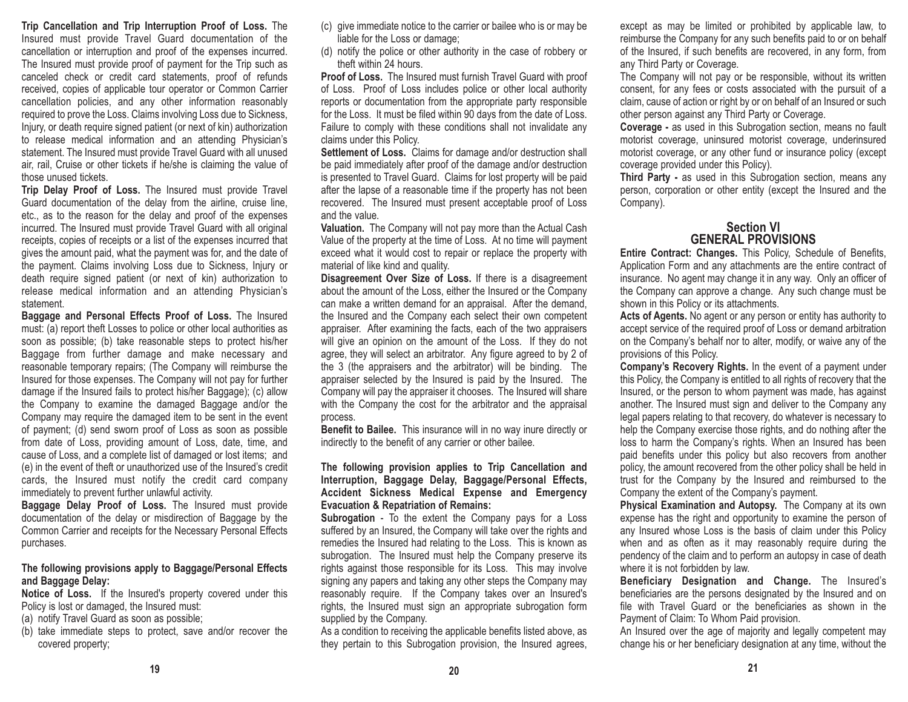**Trip Cancellation and Trip Interruption Proof of Loss.** The Insured must provide Travel Guard documentation of the cancellation or interruption and proof of the expenses incurred. The Insured must provide proof of payment for the Trip such as canceled check or credit card statements, proof of refunds received, copies of applicable tour operator or Common Carrier cancellation policies, and any other information reasonably required to prove the Loss. Claims involving Loss due to Sickness, Injury, or death require signed patient (or next of kin) authorization to release medical information and an attending Physician's statement. The Insured must provide Travel Guard with all unused air, rail, Cruise or other tickets if he/she is claiming the value of those unused tickets.

**Trip Delay Proof of Loss.** The Insured must provide Travel Guard documentation of the delay from the airline, cruise line, etc., as to the reason for the delay and proof of the expenses incurred. The Insured must provide Travel Guard with all original receipts, copies of receipts or a list of the expenses incurred that gives the amount paid, what the payment was for, and the date of the payment. Claims involving Loss due to Sickness, Injury or death require signed patient (or next of kin) authorization to release medical information and an attending Physician's statement.

**Baggage and Personal Effects Proof of Loss.** The Insured must: (a) report theft Losses to police or other local authorities as soon as possible; (b) take reasonable steps to protect his/her Baggage from further damage and make necessary and reasonable temporary repairs; (The Company will reimburse the Insured for those expenses. The Company will not pay for further damage if the Insured fails to protect his/her Baggage); (c) allow the Company to examine the damaged Baggage and/or the Company may require the damaged item to be sent in the event of payment; (d) send sworn proof of Loss as soon as possible from date of Loss, providing amount of Loss, date, time, and cause of Loss, and a complete list of damaged or lost items; and (e) in the event of theft or unauthorized use of the Insured's credit cards, the Insured must notify the credit card company immediately to prevent further unlawful activity.

**Baggage Delay Proof of Loss.** The Insured must provide documentation of the delay or misdirection of Baggage by the Common Carrier and receipts for the Necessary Personal Effects purchases.

### **The following provisions apply to Baggage/Personal Effects and Baggage Delay:**

**Notice of Loss.** If the Insured's property covered under this Policy is lost or damaged, the Insured must:

(a) notify Travel Guard as soon as possible;

(b) take immediate steps to protect, save and/or recover the covered property;

- (c) give immediate notice to the carrier or bailee who is or may be liable for the Loss or damage;
- (d) notify the police or other authority in the case of robbery or theft within 24 hours.

**Proof of Loss.** The Insured must furnish Travel Guard with proof of Loss. Proof of Loss includes police or other local authority reports or documentation from the appropriate party responsible for the Loss. It must be filed within 90 days from the date of Loss. Failure to comply with these conditions shall not invalidate any claims under this Policy.

**Settlement of Loss.** Claims for damage and/or destruction shall be paid immediately after proof of the damage and/or destruction is presented to Travel Guard. Claims for lost property will be paid after the lapse of a reasonable time if the property has not been recovered. The Insured must present acceptable proof of Loss and the value.

**Valuation.** The Company will not pay more than the Actual Cash Value of the property at the time of Loss. At no time will payment exceed what it would cost to repair or replace the property with material of like kind and quality.

**Disagreement Over Size of Loss.** If there is a disagreement about the amount of the Loss, either the Insured or the Company can make a written demand for an appraisal. After the demand, the Insured and the Company each select their own competent appraiser. After examining the facts, each of the two appraisers will give an opinion on the amount of the Loss. If they do not agree, they will select an arbitrator. Any figure agreed to by 2 of the 3 (the appraisers and the arbitrator) will be binding. The appraiser selected by the Insured is paid by the Insured. The Company will pay the appraiser it chooses. The Insured will share with the Company the cost for the arbitrator and the appraisal process.

**Benefit to Bailee.** This insurance will in no way inure directly or indirectly to the benefit of any carrier or other bailee.

#### **The following provision applies to Trip Cancellation and Interruption, Baggage Delay, Baggage/Personal Effects, Accident Sickness Medical Expense and Emergency Evacuation & Repatriation of Remains:**

**Subrogation** - To the extent the Company pays for a Loss suffered by an Insured, the Company will take over the rights and remedies the Insured had relating to the Loss. This is known as subrogation. The Insured must help the Company preserve its rights against those responsible for its Loss. This may involve signing any papers and taking any other steps the Company may reasonably require. If the Company takes over an Insured's rights, the Insured must sign an appropriate subrogation form supplied by the Company.

As a condition to receiving the applicable benefits listed above, as they pertain to this Subrogation provision, the Insured agrees, except as may be limited or prohibited by applicable law, to reimburse the Company for any such benefits paid to or on behalf of the Insured, if such benefits are recovered, in any form, from any Third Party or Coverage.

The Company will not pay or be responsible, without its written consent, for any fees or costs associated with the pursuit of a claim, cause of action or right by or on behalf of an Insured or such other person against any Third Party or Coverage.

**Coverage -** as used in this Subrogation section, means no fault motorist coverage, uninsured motorist coverage, underinsured motorist coverage, or any other fund or insurance policy (except coverage provided under this Policy).

**Third Party -** as used in this Subrogation section, means any person, corporation or other entity (except the Insured and the Company).

# **Section VIGENERAL PROVISIONS**

**Entire Contract: Changes.** This Policy, Schedule of Benefits, Application Form and any attachments are the entire contract of insurance. No agent may change it in any way. Only an officer of the Company can approve a change. Any such change must be shown in this Policy or its attachments.

**Acts of Agents.** No agent or any person or entity has authority to accept service of the required proof of Loss or demand arbitration on the Company's behalf nor to alter, modify, or waive any of the provisions of this Policy.

**Company's Recovery Rights.** In the event of a payment under this Policy, the Company is entitled to all rights of recovery that the Insured, or the person to whom payment was made, has against another. The Insured must sign and deliver to the Company any legal papers relating to that recovery, do whatever is necessary to help the Company exercise those rights, and do nothing after the loss to harm the Company's rights. When an Insured has been paid benefits under this policy but also recovers from another policy, the amount recovered from the other policy shall be held in trust for the Company by the Insured and reimbursed to the Company the extent of the Company's payment.

**Physical Examination and Autopsy.** The Company at its own expense has the right and opportunity to examine the person of any Insured whose Loss is the basis of claim under this Policy when and as often as it may reasonably require during the pendency of the claim and to perform an autopsy in case of death where it is not forbidden by law.

**Beneficiary Designation and Change.** The Insured's beneficiaries are the persons designated by the Insured and on file with Travel Guard or the beneficiaries as shown in thePayment of Claim: To Whom Paid provision.

An Insured over the age of majority and legally competent may change his or her beneficiary designation at any time, without the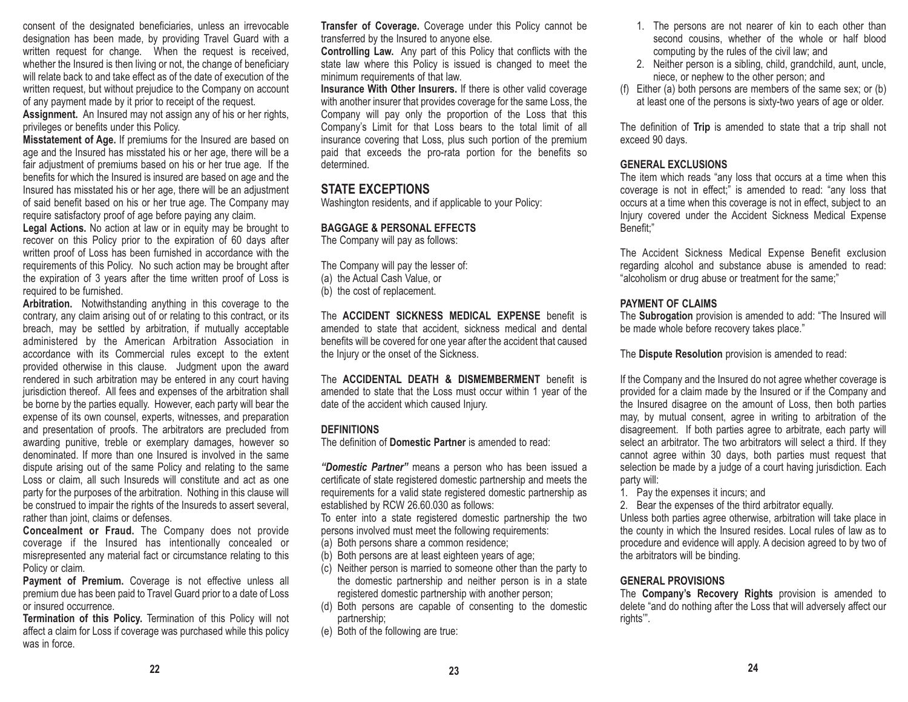consent of the designated beneficiaries, unless an irrevocable designation has been made, by providing Travel Guard with a written request for change. When the request is received, whether the Insured is then living or not, the change of beneficiary will relate back to and take effect as of the date of execution of thewritten request, but without prejudice to the Company on account of any payment made by it prior to receipt of the request.

**Assignment.** An Insured may not assign any of his or her rights, privileges or benefits under this Policy.

**Misstatement of Age.** If premiums for the Insured are based on age and the Insured has misstated his or her age, there will be a fair adjustment of premiums based on his or her true age. If the benefits for which the Insured is insured are based on age and the Insured has misstated his or her age, there will be an adjustment of said benefit based on his or her true age. The Company may require satisfactory proof of age before paying any claim.

**Legal Actions.** No action at law or in equity may be brought to recover on this Policy prior to the expiration of 60 days after written proof of Loss has been furnished in accordance with the requirements of this Policy. No such action may be brought after the expiration of 3 years after the time written proof of Loss is required to be furnished.

**Arbitration.** Notwithstanding anything in this coverage to the contrary, any claim arising out of or relating to this contract, or its breach, may be settled by arbitration, if mutually acceptable administered by the American Arbitration Association in accordance with its Commercial rules except to the extent provided otherwise in this clause. Judgment upon the award rendered in such arbitration may be entered in any court having jurisdiction thereof. All fees and expenses of the arbitration shall be borne by the parties equally. However, each party will bear the expense of its own counsel, experts, witnesses, and preparation and presentation of proofs. The arbitrators are precluded from awarding punitive, treble or exemplary damages, however so denominated. If more than one Insured is involved in the samedispute arising out of the same Policy and relating to the same Loss or claim, all such Insureds will constitute and act as one party for the purposes of the arbitration. Nothing in this clause will be construed to impair the rights of the Insureds to assert several, rather than joint, claims or defenses.

**Concealment or Fraud.** The Company does not provide coverage if the Insured has intentionally concealed or misrepresented any material fact or circumstance relating to this Policy or claim.

**Payment of Premium.** Coverage is not effective unless all premium due has been paid to Travel Guard prior to a date of Loss or insured occurrence.

**Termination of this Policy.** Termination of this Policy will not affect a claim for Loss if coverage was purchased while this policy was in force.

**Transfer of Coverage.** Coverage under this Policy cannot be transferred by the Insured to anyone else.

**Controlling Law.** Any part of this Policy that conflicts with the state law where this Policy is issued is changed to meet the minimum requirements of that law.

**Insurance With Other Insurers.** If there is other valid coverage with another insurer that provides coverage for the same Loss, the Company will pay only the proportion of the Loss that this Company's Limit for that Loss bears to the total limit of all insurance covering that Loss, plus such portion of the premium paid that exceeds the pro-rata portion for the benefits so determined.

# **STATE EXCEPTIONS**

Washington residents, and if applicable to your Policy:

### **BAGGAGE & PERSONAL EFFECTS**

The Company will pay as follows:

The Company will pay the lesser of: (a) the Actual Cash Value, or (b) the cost of replacement.

The **ACCIDENT SICKNESS MEDICAL EXPENSE** benefit is amended to state that accident, sickness medical and dental benefits will be covered for one year after the accident that caused the Injury or the onset of the Sickness.

The **ACCIDENTAL DEATH & DISMEMBERMENT** benefit is amended to state that the Loss must occur within 1 year of the date of the accident which caused Injury.

### **DEFINITIONS**

The definition of **Domestic Partner** is amended to read:

*"Domestic Partner"* means a person who has been issued a certificate of state registered domestic partnership and meets the requirements for a valid state registered domestic partnership as established by RCW 26.60.030 as follows:

To enter into a state registered domestic partnership the two persons involved must meet the following requirements:

- (a) Both persons share a common residence;
- (b) Both persons are at least eighteen years of age;
- (c) Neither person is married to someone other than the party to the domestic partnership and neither person is in a state registered domestic partnership with another person;
- (d) Both persons are capable of consenting to the domestic partnership;
- (e) Both of the following are true:
- 1. The persons are not nearer of kin to each other than second cousins, whether of the whole or half blood computing by the rules of the civil law; and
- 2. Neither person is a sibling, child, grandchild, aunt, uncle, niece, or nephew to the other person; and
- (f) Either (a) both persons are members of the same sex; or (b) at least one of the persons is sixty-two years of age or older.

The definition of **Trip** is amended to state that a trip shall not exceed 90 days.

# **GENERAL EXCLUSIONS**

The item which reads "any loss that occurs at a time when this coverage is not in effect;" is amended to read: "any loss that occurs at a time when this coverage is not in effect, subject to an Injury covered under the Accident Sickness Medical Expense Benefit;"

The Accident Sickness Medical Expense Benefit exclusion regarding alcohol and substance abuse is amended to read: "alcoholism or drug abuse or treatment for the same;"

# **PAYMENT OF CLAIMS**

The **Subrogation** provision is amended to add: "The Insured will be made whole before recovery takes place."

The **Dispute Resolution** provision is amended to read:

If the Company and the Insured do not agree whether coverage is provided for a claim made by the Insured or if the Company and the Insured disagree on the amount of Loss, then both parties may, by mutual consent, agree in writing to arbitration of the disagreement. If both parties agree to arbitrate, each party will select an arbitrator. The two arbitrators will select a third. If they cannot agree within 30 days, both parties must request that selection be made by a judge of a court having jurisdiction. Each party will:

1. Pay the expenses it incurs; and

2. Bear the expenses of the third arbitrator equally.

Unless both parties agree otherwise, arbitration will take place in the county in which the Insured resides. Local rules of law as to procedure and evidence will apply. A decision agreed to by two of the arbitrators will be binding.

# **GENERAL PROVISIONS**

The **Company's Recovery Rights** provision is amended to delete "and do nothing after the Loss that will adversely affect our rights'".